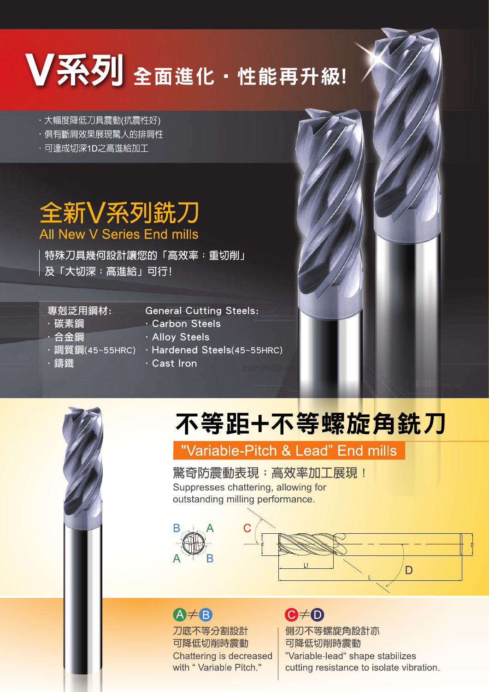# 区系列全面進化 · 性能再升級!

- · 大幅度降低刀具震動(抗震性好)
- ・倶有斷層效果展現驚人的排層性
- ·可達成切深1D之高進給加工

## 全新V系列銑刀 All New V Series End mills

特殊刀具幾何設計讓您的「高效率;重切削」 及「大切深;高進給」可行!

#### 專剋泛用鋼材:

.調質鋼(45~55HRC)

- .碳素鋼
- .合金鋼

.鑄鐵

- General Cutting Steels:
- .Carbon Steels
- .Alloy Steels
- .Hardened Steels(45~55HRC)
- .Cast Iron

# 不等距+不等螺旋角銑刀

### "Variable-Pitch & Lead" End mills

驚奇防震動表現;高效率加工展現! Suppresses chattering, allowing for outstanding milling performance.



D

### $A \neq B$

刀底不等分割設計 可降低切削時震動 Chattering is decreased with "Variable Pitch."

# $\bigcirc \neq 0$

側刃不等螺旋角設計亦 可降低切削時震動 "Variable-lead" shape stabilizes cutting resistance to isolate vibration.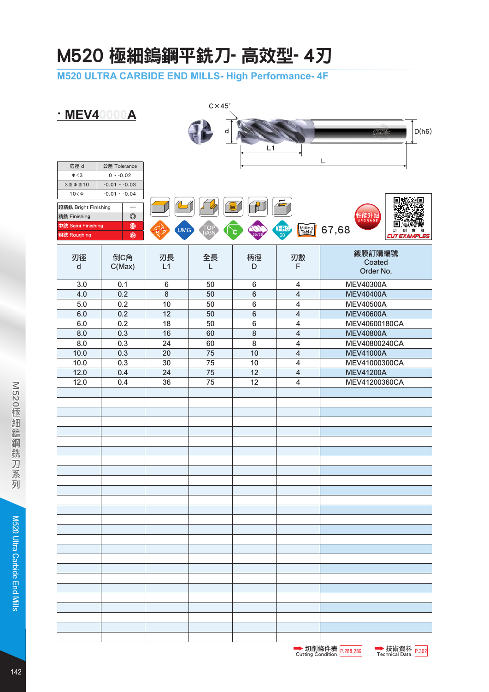## M520 極細鎢鋼平銑刀- 高效型- 4刃

**M520 ULTRA CARBIDE END MILLS- High Performance- 4F**

| <b>MEV40000A</b>                                       |                                                                  | $C \times 45^\circ$ |            |                 |                                      |                                             |  |  |
|--------------------------------------------------------|------------------------------------------------------------------|---------------------|------------|-----------------|--------------------------------------|---------------------------------------------|--|--|
|                                                        |                                                                  |                     | d          | L1              |                                      | D(h6)<br><b>CMTtéc</b>                      |  |  |
| 刃徑 d<br>$\Phi < 3$<br>$3 \le \phi \le 10$<br>$10<\Phi$ | 公差 Tolerance<br>$0 ~ - 0.02$<br>$-0.01 - 0.03$<br>$-0.01 - 0.04$ |                     |            |                 |                                      | L                                           |  |  |
| 超精銑 Bright Finishing                                   |                                                                  |                     |            |                 |                                      |                                             |  |  |
| 精銑 Finishing                                           | $\circledcirc$                                                   |                     |            |                 |                                      | 性能升 <i>1</i><br><sub>UPGRADE</sub>          |  |  |
| 中銑 Semi Finishing<br>粗銑 Roughing                       | $\circledcirc$<br>$^{\circ}$                                     | <b>UMG</b>          | TOI<br>TAL | c<br>5/3        | Milling<br>Table<br><b>HRC</b><br>60 | 67,68<br>切<br>削<br>實<br><b>CUT EXAMPLES</b> |  |  |
| 刃徑                                                     | 倒C角                                                              | 刃長                  | 全長         | 柄徑              | 刃數                                   | 鍍膜訂購編號                                      |  |  |
| ${\sf d}$                                              | C(Max)                                                           | L1                  | L          | D               | F                                    | Coated<br>Order No.                         |  |  |
| 3.0                                                    | 0.1                                                              | 6                   | 50         | 6               | 4                                    | <b>MEV40300A</b>                            |  |  |
| 4.0                                                    | 0.2                                                              | $\,8\,$             | 50         | $6\phantom{1}6$ | $\overline{\mathbf{4}}$              | <b>MEV40400A</b>                            |  |  |
| 5.0                                                    | 0.2                                                              | 10                  | 50         | $\,6\,$         | $\overline{\mathbf{4}}$              | <b>MEV40500A</b>                            |  |  |
| 6.0                                                    | 0.2                                                              | 12                  | 50         | $6\phantom{1}$  | $\overline{\mathbf{4}}$              | <b>MEV40600A</b>                            |  |  |
| 6.0                                                    | 0.2                                                              | 18                  | 50         | 6               | $\overline{\mathbf{4}}$              | MEV40600180CA                               |  |  |
| 8.0<br>8.0                                             | 0.3<br>0.3                                                       | 16<br>24            | 60<br>60   | 8<br>8          | $\overline{\mathbf{4}}$<br>4         | <b>MEV40800A</b><br>MEV40800240CA           |  |  |
| 10.0                                                   | 0.3                                                              | 20                  | 75         | 10              | $\overline{\mathbf{4}}$              | <b>MEV41000A</b>                            |  |  |
| 10.0                                                   | 0.3                                                              | 30                  | 75         | 10              | 4                                    | MEV41000300CA                               |  |  |
| 12.0                                                   | 0.4                                                              | 24                  | 75         | 12              | $\overline{\mathbf{4}}$              | <b>MEV41200A</b>                            |  |  |
| 12.0                                                   | 0.4                                                              | 36                  | 75         | 12              | $\overline{\mathbf{4}}$              | MEV41200360CA                               |  |  |
|                                                        |                                                                  |                     |            |                 |                                      |                                             |  |  |
|                                                        |                                                                  |                     |            |                 |                                      |                                             |  |  |
|                                                        |                                                                  |                     |            |                 |                                      |                                             |  |  |
|                                                        |                                                                  |                     |            |                 |                                      |                                             |  |  |
|                                                        |                                                                  |                     |            |                 |                                      |                                             |  |  |
|                                                        |                                                                  |                     |            |                 |                                      |                                             |  |  |
|                                                        |                                                                  |                     |            |                 |                                      |                                             |  |  |
|                                                        |                                                                  |                     |            |                 |                                      |                                             |  |  |
|                                                        |                                                                  |                     |            |                 |                                      |                                             |  |  |
|                                                        |                                                                  |                     |            |                 |                                      |                                             |  |  |
|                                                        |                                                                  |                     |            |                 |                                      |                                             |  |  |
|                                                        |                                                                  |                     |            |                 |                                      |                                             |  |  |
|                                                        |                                                                  |                     |            |                 |                                      |                                             |  |  |
|                                                        |                                                                  |                     |            |                 |                                      |                                             |  |  |
|                                                        |                                                                  |                     |            |                 |                                      |                                             |  |  |
|                                                        |                                                                  |                     |            |                 |                                      |                                             |  |  |
|                                                        |                                                                  |                     |            |                 |                                      |                                             |  |  |
|                                                        |                                                                  |                     |            |                 |                                      |                                             |  |  |
|                                                        |                                                                  |                     |            |                 |                                      |                                             |  |  |
|                                                        |                                                                  |                     |            |                 |                                      |                                             |  |  |
|                                                        |                                                                  |                     |            |                 |                                      |                                             |  |  |
|                                                        |                                                                  |                     |            |                 |                                      |                                             |  |  |
|                                                        |                                                                  |                     |            |                 |                                      |                                             |  |  |
|                                                        |                                                                  |                     |            |                 |                                      |                                             |  |  |

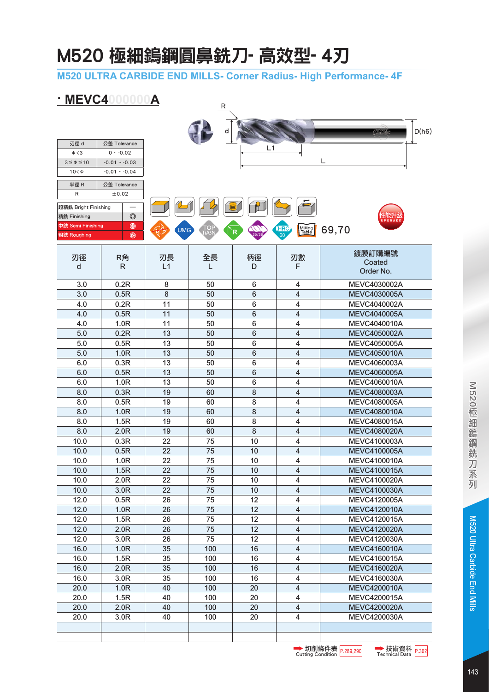## M520 極細鎢鋼圓鼻銑刀- 高效型- 4刃

**M520 ULTRA CARBIDE END MILLS- Corner Radius- High Performance- 4F**

### **· MEVC4000000A**

| IVIC V V 4           |                              | A          | R   |    |                                |                     |       |
|----------------------|------------------------------|------------|-----|----|--------------------------------|---------------------|-------|
|                      |                              |            |     |    |                                |                     |       |
|                      |                              |            |     |    |                                | GMILA               | D(h6) |
|                      |                              |            |     |    |                                |                     |       |
| 刃徑 d<br>$\Phi < 3$   | 公差 Tolerance<br>$0 ~ - 0.02$ |            |     | L1 |                                |                     |       |
| $3 \le \phi \le 10$  | $-0.01 - 0.03$               |            |     |    |                                | L                   |       |
| $10<\Phi$            | $-0.01 - 0.04$               |            |     |    |                                |                     |       |
|                      |                              |            |     |    |                                |                     |       |
| 半徑 R                 | 公差 Tolerance                 |            |     |    |                                |                     |       |
| R                    | ±0.02                        |            |     |    |                                |                     |       |
| 超精銑 Bright Finishing |                              |            |     |    |                                |                     |       |
| 精銑 Finishing         | $\circledcirc$               |            |     |    |                                |                     |       |
| 中銑 Semi Finishing    | $\circledcirc$               | <b>UMG</b> | O,  |    | <b>HRC</b><br>Milling<br>Table | 69,70               |       |
| 粗銑 Roughing          | $\circledcirc$               |            |     |    |                                |                     |       |
|                      |                              |            |     |    |                                | 鍍膜訂購編號              |       |
| 刃徑                   | R角                           | 刃長         | 全長  | 柄徑 | 刃數                             | Coated              |       |
| d                    | R                            | L1         | L   | D  | F                              | Order No.           |       |
| 3.0                  | 0.2R                         | 8          | 50  | 6  | 4                              | MEVC4030002A        |       |
| 3.0                  | 0.5R                         | 8          | 50  | 6  | 4                              | MEVC4030005A        |       |
| 4.0                  | 0.2R                         | 11         | 50  | 6  | 4                              | MEVC4040002A        |       |
| 4.0                  | 0.5R                         | 11         | 50  | 6  | 4                              | <b>MEVC4040005A</b> |       |
| 4.0                  | 1.0R                         | 11         | 50  | 6  | 4                              | MEVC4040010A        |       |
| 5.0                  | 0.2R                         | 13         | 50  | 6  | 4                              | <b>MEVC4050002A</b> |       |
| 5.0                  | 0.5R                         | 13         | 50  | 6  | 4                              | <b>MEVC4050005A</b> |       |
| 5.0                  | 1.0R                         | 13         | 50  | 6  | 4                              | <b>MEVC4050010A</b> |       |
| 6.0                  | 0.3R                         | 13         | 50  | 6  | 4                              | MEVC4060003A        |       |
| 6.0                  | 0.5R                         | 13         | 50  | 6  | 4                              | <b>MEVC4060005A</b> |       |
| 6.0                  | 1.0R                         | 13         | 50  | 6  | 4                              | <b>MEVC4060010A</b> |       |
| 8.0                  | 0.3R                         | 19         | 60  | 8  | 4                              | <b>MEVC4080003A</b> |       |
| 8.0                  | 0.5R                         | 19         | 60  | 8  | 4                              | MEVC4080005A        |       |
| 8.0                  | 1.0R                         | 19         | 60  | 8  | 4                              | <b>MEVC4080010A</b> |       |
| 8.0                  | 1.5R                         | 19         | 60  | 8  | 4                              | MEVC4080015A        |       |
| 8.0                  | 2.0R                         | 19         | 60  | 8  | 4                              | <b>MEVC4080020A</b> |       |
| 10.0                 | 0.3R                         | 22         | 75  | 10 | 4                              | MEVC4100003A        |       |
| 10.0                 | 0.5R                         | 22         | 75  | 10 | 4                              | <b>MEVC4100005A</b> |       |
| 10.0                 | 1.0R                         | 22         | 75  | 10 | 4                              | <b>MEVC4100010A</b> |       |
| 10.0                 | 1.5R                         | 22         | 75  | 10 | 4                              | MEVC4100015A        |       |
| 10.0                 | 2.0R                         | 22         | 75  | 10 | $\overline{\mathbf{4}}$        | MEVC4100020A        |       |
| 10.0                 | 3.0R                         | 22         | 75  | 10 | $\overline{\mathbf{4}}$        | MEVC4100030A        |       |
| 12.0                 | 0.5R                         | 26         | 75  | 12 | $\overline{\mathbf{4}}$        | <b>MEVC4120005A</b> |       |
| 12.0                 | 1.0R                         | 26         | 75  | 12 | $\overline{\mathbf{4}}$        | <b>MEVC4120010A</b> |       |
| 12.0                 | 1.5R                         | 26         | 75  | 12 | 4                              | MEVC4120015A        |       |
| 12.0                 | 2.0R                         | 26         | 75  | 12 | $\overline{\mathbf{4}}$        | <b>MEVC4120020A</b> |       |
| 12.0                 | 3.0R                         | 26         | 75  | 12 | $\overline{\mathbf{4}}$        | MEVC4120030A        |       |
| 16.0                 | 1.0R                         | 35         | 100 | 16 | $\overline{\mathbf{4}}$        | <b>MEVC4160010A</b> |       |
| 16.0                 | 1.5R                         | 35         | 100 | 16 | $\overline{\mathbf{4}}$        | MEVC4160015A        |       |
| 16.0                 | 2.0R                         | 35         | 100 | 16 | $\overline{\mathbf{4}}$        | <b>MEVC4160020A</b> |       |
| 16.0                 | 3.0R                         | 35         | 100 | 16 | 4                              | MEVC4160030A        |       |
| 20.0                 | 1.0R                         | 40         | 100 | 20 | $\overline{\mathbf{4}}$        | <b>MEVC4200010A</b> |       |
| 20.0                 | 1.5R                         | 40         | 100 | 20 | $\overline{\mathbf{4}}$        | MEVC4200015A        |       |
| 20.0                 | 2.0R                         | 40         | 100 | 20 | $\overline{\mathbf{4}}$        | <b>MEVC4200020A</b> |       |
| 20.0                 | 3.0R                         | 40         | 100 | 20 | $\overline{\mathbf{4}}$        | MEVC4200030A        |       |
|                      |                              |            |     |    |                                |                     |       |